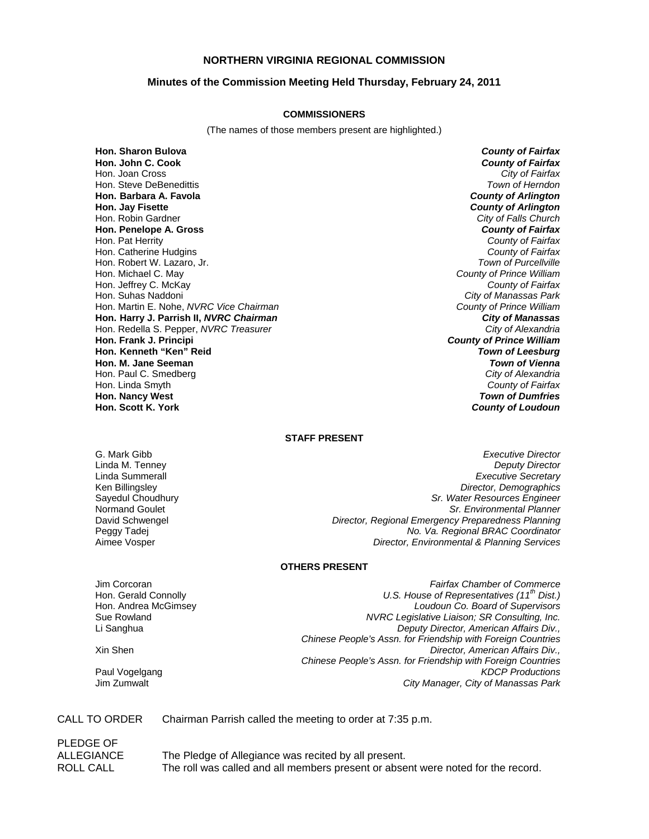## **NORTHERN VIRGINIA REGIONAL COMMISSION**

## **Minutes of the Commission Meeting Held Thursday, February 24, 2011**

#### **COMMISSIONERS**

(The names of those members present are highlighted.)

**Hon. Sharon Bulova** *County of Fairfax* **Hon. John C. Cook** *County of Fairfax* Hon. Joan Cross Hon. Steve DeBenedittis *Town of Herndon* **Hon. Barbara A. Favola** *County of Arlington* **Hon. Jay Fisette** *County of Arlington* Hon. Robin Gardner *City of Falls Church* **Hon. Penelope A. Gross** *County of Fairfax* Hon. Pat Herrity *County of Fairfax* Hon. Catherine Hudgins *County of Fairfax* Hon. Robert W. Lazaro, Jr. Hon. Michael C. May *County of Prince William* Hon. Jeffrey C. McKay *County of Fairfax* Hon. Suhas Naddoni *City of Manassas Park* Hon. Martin E. Nohe, *NVRC Vice Chairman County of Prince William* **Hon. Harry J. Parrish II,** *NVRC Chairman City of Manassas* Hon. Redella S. Pepper, *NVRC Treasurer City of Alexandria* **Hon. Frank J. Principi** *County of Prince William* **Hon. Kenneth "Ken" Reid** *Town of Leesburg* **Hon. M. Jane Seeman** Hon. Paul C. Smedberg *City of Alexandria* Hon. Linda Smyth **Hon. Nancy West** *Town of Dumfries*

**County of Loudoun** 

### **STAFF PRESENT**

G. Mark Gibb *Executive Director* Linda M. Tenney *Deputy Director* **Executive Secretary** Ken Billingsley *Director, Demographics* Sayedul Choudhury *Sr. Water Resources Engineer* Normand Goulet *Sr. Environmental Planner* David Schwengel *Director, Regional Emergency Preparedness Planning* Peggy Tadej *No. Va. Regional BRAC Coordinator* Aimee Vosper *Director, Environmental & Planning Services*

## **OTHERS PRESENT**

Jim Corcoran *Fairfax Chamber of Commerce*

Hon. Gerald Connolly *U.S. House of Representatives (11th Dist.)* Hon. Andrea McGimsey *Loudoun Co. Board of Supervisors* Sue Rowland *NVRC Legislative Liaison; SR Consulting, Inc.* Li Sanghua *Deputy Director, American Affairs Div., Chinese People's Assn. for Friendship with Foreign Countries* Xin Shen *Director, American Affairs Div., Chinese People's Assn. for Friendship with Foreign Countries* Paul Vogelgang *KDCP Productions* **City Manager, City of Manassas Park** 

### CALL TO ORDER Chairman Parrish called the meeting to order at 7:35 p.m.

PLEDGE OF ALLEGIANCE The Pledge of Allegiance was recited by all present. ROLL CALL The roll was called and all members present or absent were noted for the record.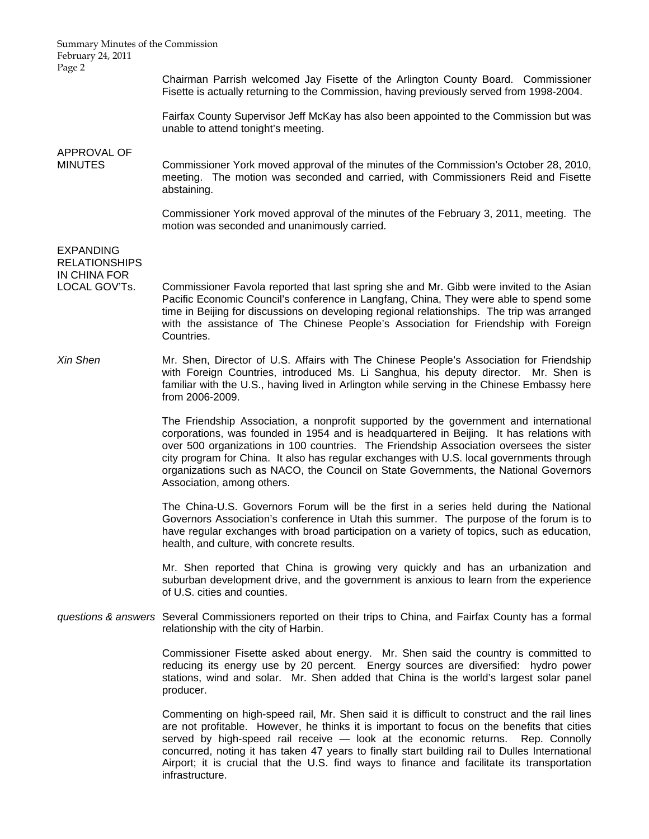February 24, 2011 Page 2 Chairman Parrish welcomed Jay Fisette of the Arlington County Board. Commissioner Fisette is actually returning to the Commission, having previously served from 1998-2004. Fairfax County Supervisor Jeff McKay has also been appointed to the Commission but was unable to attend tonight's meeting. APPROVAL OF MINUTES Commissioner York moved approval of the minutes of the Commission's October 28, 2010, meeting. The motion was seconded and carried, with Commissioners Reid and Fisette abstaining. Commissioner York moved approval of the minutes of the February 3, 2011, meeting. The motion was seconded and unanimously carried. EXPANDING RELATIONSHIPS IN CHINA FOR LOCAL GOV'Ts. Commissioner Favola reported that last spring she and Mr. Gibb were invited to the Asian Pacific Economic Council's conference in Langfang, China, They were able to spend some time in Beijing for discussions on developing regional relationships. The trip was arranged with the assistance of The Chinese People's Association for Friendship with Foreign Countries. *Xin Shen* **Mr.** Shen, Director of U.S. Affairs with The Chinese People's Association for Friendship with Foreign Countries, introduced Ms. Li Sanghua, his deputy director. Mr. Shen is familiar with the U.S., having lived in Arlington while serving in the Chinese Embassy here from 2006-2009. The Friendship Association, a nonprofit supported by the government and international corporations, was founded in 1954 and is headquartered in Beijing. It has relations with over 500 organizations in 100 countries. The Friendship Association oversees the sister city program for China. It also has regular exchanges with U.S. local governments through organizations such as NACO, the Council on State Governments, the National Governors Association, among others. The China-U.S. Governors Forum will be the first in a series held during the National Governors Association's conference in Utah this summer. The purpose of the forum is to have regular exchanges with broad participation on a variety of topics, such as education, health, and culture, with concrete results. Mr. Shen reported that China is growing very quickly and has an urbanization and suburban development drive, and the government is anxious to learn from the experience of U.S. cities and counties. *questions & answers* Several Commissioners reported on their trips to China, and Fairfax County has a formal relationship with the city of Harbin. Commissioner Fisette asked about energy. Mr. Shen said the country is committed to reducing its energy use by 20 percent. Energy sources are diversified: hydro power stations, wind and solar. Mr. Shen added that China is the world's largest solar panel producer. Commenting on high-speed rail, Mr. Shen said it is difficult to construct and the rail lines are not profitable. However, he thinks it is important to focus on the benefits that cities served by high-speed rail receive — look at the economic returns. Rep. Connolly concurred, noting it has taken 47 years to finally start building rail to Dulles International Airport; it is crucial that the U.S. find ways to finance and facilitate its transportation infrastructure.

Summary Minutes of the Commission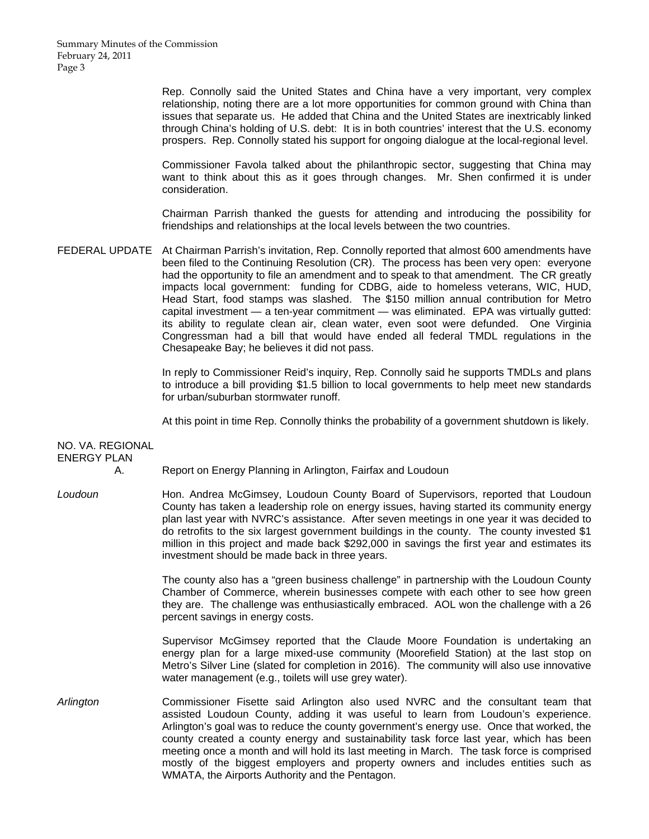Rep. Connolly said the United States and China have a very important, very complex relationship, noting there are a lot more opportunities for common ground with China than issues that separate us. He added that China and the United States are inextricably linked through China's holding of U.S. debt: It is in both countries' interest that the U.S. economy prospers. Rep. Connolly stated his support for ongoing dialogue at the local-regional level.

 Commissioner Favola talked about the philanthropic sector, suggesting that China may want to think about this as it goes through changes. Mr. Shen confirmed it is under consideration.

 Chairman Parrish thanked the guests for attending and introducing the possibility for friendships and relationships at the local levels between the two countries.

FEDERAL UPDATE At Chairman Parrish's invitation, Rep. Connolly reported that almost 600 amendments have been filed to the Continuing Resolution (CR). The process has been very open: everyone had the opportunity to file an amendment and to speak to that amendment. The CR greatly impacts local government: funding for CDBG, aide to homeless veterans, WIC, HUD, Head Start, food stamps was slashed. The \$150 million annual contribution for Metro capital investment — a ten-year commitment — was eliminated. EPA was virtually gutted: its ability to regulate clean air, clean water, even soot were defunded. One Virginia Congressman had a bill that would have ended all federal TMDL regulations in the Chesapeake Bay; he believes it did not pass.

> In reply to Commissioner Reid's inquiry, Rep. Connolly said he supports TMDLs and plans to introduce a bill providing \$1.5 billion to local governments to help meet new standards for urban/suburban stormwater runoff.

> At this point in time Rep. Connolly thinks the probability of a government shutdown is likely.

| NO. VA. REGIONAL<br><b>ENERGY PLAN</b> | А. |                                                                                                                                                                                                                                                                                                                                                                                                                                                                                                                                                                                                 |
|----------------------------------------|----|-------------------------------------------------------------------------------------------------------------------------------------------------------------------------------------------------------------------------------------------------------------------------------------------------------------------------------------------------------------------------------------------------------------------------------------------------------------------------------------------------------------------------------------------------------------------------------------------------|
|                                        |    | Report on Energy Planning in Arlington, Fairfax and Loudoun                                                                                                                                                                                                                                                                                                                                                                                                                                                                                                                                     |
| Loudoun                                |    | Hon. Andrea McGimsey, Loudoun County Board of Supervisors, reported that Loudoun<br>County has taken a leadership role on energy issues, having started its community energy<br>plan last year with NVRC's assistance. After seven meetings in one year it was decided to<br>do retrofits to the six largest government buildings in the county. The county invested \$1<br>million in this project and made back \$292,000 in savings the first year and estimates its<br>investment should be made back in three years.                                                                       |
|                                        |    | The county also has a "green business challenge" in partnership with the Loudoun County<br>Chamber of Commerce, wherein businesses compete with each other to see how green<br>they are. The challenge was enthusiastically embraced. AOL won the challenge with a 26<br>percent savings in energy costs.                                                                                                                                                                                                                                                                                       |
|                                        |    | Supervisor McGimsey reported that the Claude Moore Foundation is undertaking an<br>energy plan for a large mixed-use community (Moorefield Station) at the last stop on<br>Metro's Silver Line (slated for completion in 2016). The community will also use innovative<br>water management (e.g., toilets will use grey water).                                                                                                                                                                                                                                                                 |
| Arlington                              |    | Commissioner Fisette said Arlington also used NVRC and the consultant team that<br>assisted Loudoun County, adding it was useful to learn from Loudoun's experience.<br>Arlington's goal was to reduce the county government's energy use. Once that worked, the<br>county created a county energy and sustainability task force last year, which has been<br>meeting once a month and will hold its last meeting in March. The task force is comprised<br>mostly of the biggest employers and property owners and includes entities such as<br>WMATA, the Airports Authority and the Pentagon. |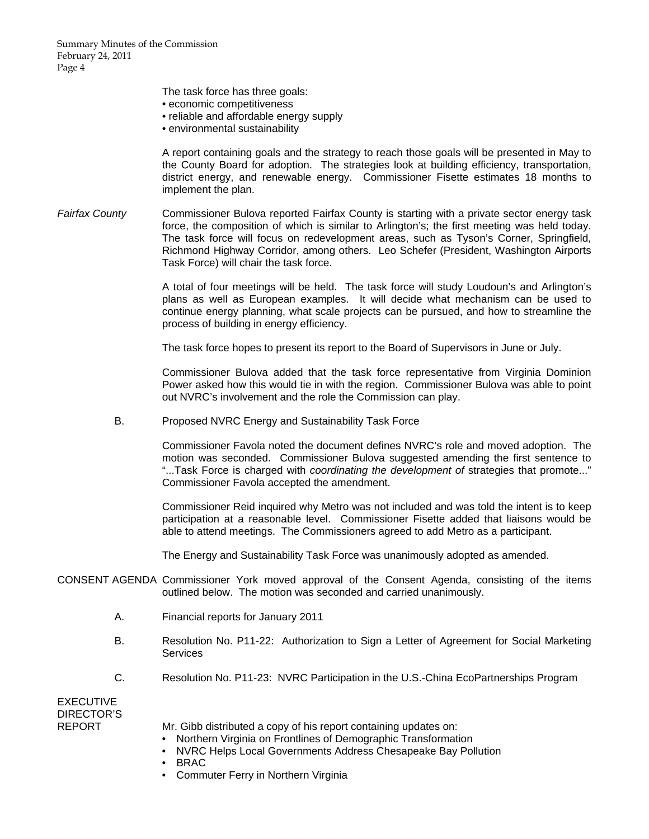The task force has three goals:

- economic competitiveness
- reliable and affordable energy supply
- environmental sustainability

 A report containing goals and the strategy to reach those goals will be presented in May to the County Board for adoption. The strategies look at building efficiency, transportation, district energy, and renewable energy. Commissioner Fisette estimates 18 months to implement the plan.

Fairfax County Commissioner Bulova reported Fairfax County is starting with a private sector energy task force, the composition of which is similar to Arlington's; the first meeting was held today. The task force will focus on redevelopment areas, such as Tyson's Corner, Springfield, Richmond Highway Corridor, among others. Leo Schefer (President, Washington Airports Task Force) will chair the task force.

> A total of four meetings will be held. The task force will study Loudoun's and Arlington's plans as well as European examples. It will decide what mechanism can be used to continue energy planning, what scale projects can be pursued, and how to streamline the process of building in energy efficiency.

The task force hopes to present its report to the Board of Supervisors in June or July.

 Commissioner Bulova added that the task force representative from Virginia Dominion Power asked how this would tie in with the region. Commissioner Bulova was able to point out NVRC's involvement and the role the Commission can play.

B. Proposed NVRC Energy and Sustainability Task Force

Commissioner Favola noted the document defines NVRC's role and moved adoption. The motion was seconded. Commissioner Bulova suggested amending the first sentence to "...Task Force is charged with *coordinating the development of* strategies that promote..." Commissioner Favola accepted the amendment.

Commissioner Reid inquired why Metro was not included and was told the intent is to keep participation at a reasonable level. Commissioner Fisette added that liaisons would be able to attend meetings. The Commissioners agreed to add Metro as a participant.

The Energy and Sustainability Task Force was unanimously adopted as amended.

- CONSENT AGENDA Commissioner York moved approval of the Consent Agenda, consisting of the items outlined below. The motion was seconded and carried unanimously.
	- A. Financial reports for January 2011
	- B. Resolution No. P11-22: Authorization to Sign a Letter of Agreement for Social Marketing **Services**
	- C. Resolution No. P11-23: NVRC Participation in the U.S.-China EcoPartnerships Program

**EXECUTIVE** DIRECTOR'S

- REPORT Mr. Gibb distributed a copy of his report containing updates on:
	- Northern Virginia on Frontlines of Demographic Transformation
	- NVRC Helps Local Governments Address Chesapeake Bay Pollution
	- BRAC
	- Commuter Ferry in Northern Virginia